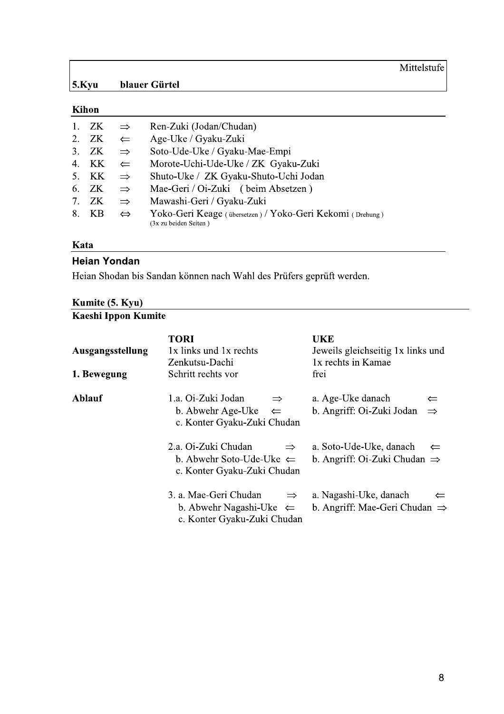Mittelstufe

# Kihon

| ZK. | $\Rightarrow$     | Ren-Zuki (Jodan/Chudan)                                                            |
|-----|-------------------|------------------------------------------------------------------------------------|
| ZK  | $\leftarrow$      | Age-Uke / Gyaku-Zuki                                                               |
| ZK. | $\Rightarrow$     | Soto-Ude-Uke / Gyaku-Mae-Empi                                                      |
| KK. | $\leftarrow$      | Morote-Uchi-Ude-Uke / ZK Gyaku-Zuki                                                |
| KK  | $\Rightarrow$     | Shuto-Uke / ZK Gyaku-Shuto-Uchi Jodan                                              |
| ZK. | $\Rightarrow$     | Mae-Geri / Oi-Zuki (beim Absetzen)                                                 |
| ZK  | $\Rightarrow$     | Mawashi-Geri / Gyaku-Zuki                                                          |
| KB  | $\Leftrightarrow$ | Yoko-Geri Keage (übersetzen) / Yoko-Geri Kekomi (Drehung)<br>(3x zu beiden Seiten) |
|     |                   |                                                                                    |

# Kata

### **Heian Yondan**

Heian Shodan bis Sandan können nach Wahl des Prüfers geprüft werden.

# Kumite (5. Kyu)

# Kaeshi Ippon Kumite

| Ausgangsstellung | <b>TORI</b><br>1x links und 1x rechts<br>Zenkutsu-Dachi                                                     | UKE<br>Jeweils gleichseitig 1x links und<br>1x rechts in Kamae                      |
|------------------|-------------------------------------------------------------------------------------------------------------|-------------------------------------------------------------------------------------|
| 1. Bewegung      | Schritt rechts vor                                                                                          | frei                                                                                |
| <b>Ablauf</b>    | 1.a. Oi-Zuki Jodan<br>$\Rightarrow$<br>b. Abwehr Age-Uke $\Leftarrow$<br>c. Konter Gyaku-Zuki Chudan        | a. Age-Uke danach<br>$\Leftarrow$<br>b. Angriff: Oi-Zuki Jodan<br>$\Rightarrow$     |
|                  | 2.a. Oi-Zuki Chudan<br>$\Rightarrow$<br>b. Abwehr Soto-Ude-Uke $\Leftarrow$<br>c. Konter Gyaku-Zuki Chudan  | a. Soto-Ude-Uke, danach<br>$\leftarrow$<br>b. Angriff: Oi-Zuki Chudan $\Rightarrow$ |
|                  | 3. a. Mae-Geri Chudan<br>$\Rightarrow$<br>b. Abwehr Nagashi-Uke $\Leftarrow$<br>c. Konter Gyaku-Zuki Chudan | a. Nagashi-Uke, danach<br>$\Leftarrow$<br>b. Angriff: Mae-Geri Chudan $\Rightarrow$ |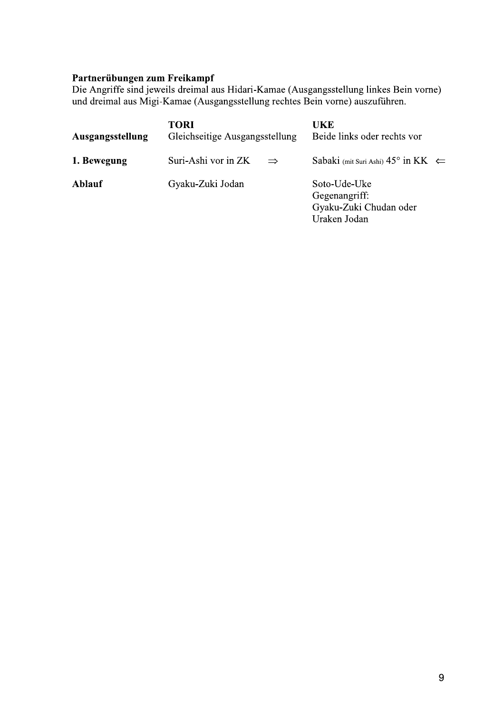Partnerübungen zum Freikampf<br>Die Angriffe sind jeweils dreimal aus Hidari-Kamae (Ausgangsstellung linkes Bein vorne)<br>und dreimal aus Migi-Kamae (Ausgangsstellung rechtes Bein vorne) auszuführen.

| Ausgangsstellung | <b>TORI</b><br>Gleichseitige Ausgangsstellung |               | UKE<br>Beide links oder rechts vor                                      |  |
|------------------|-----------------------------------------------|---------------|-------------------------------------------------------------------------|--|
| 1. Bewegung      | Suri-Ashi vor in ZK                           | $\Rightarrow$ | Sabaki (mit Suri Ashi) $45^{\circ}$ in KK $\Leftarrow$                  |  |
| <b>Ablauf</b>    | Gyaku-Zuki Jodan                              |               | Soto-Ude-Uke<br>Gegenangriff:<br>Gyaku-Zuki Chudan oder<br>Uraken Jodan |  |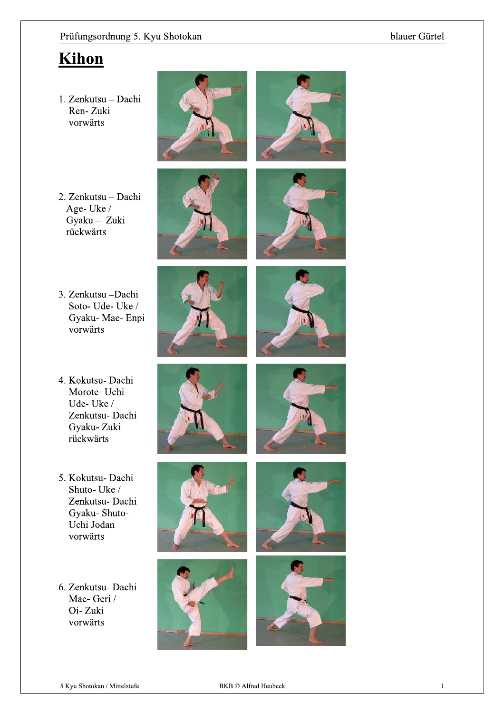# Kihon

1. Zenkutsu - Dachi Ren-Zuki vorwärts



- 2. Zenkutsu Dachi Age-Uke/ Gyaku - Zuki rückwärts
- 3. Zenkutsu Dachi Soto-Ude-Uke/ Gyaku-Mae-Enpi vorwärts
- 4. Kokutsu- Dachi Morote- Uchi-Ude-Uke/ Zenkutsu- Dachi Gyaku-Zuki rückwärts
- 5. Kokutsu- Dachi Shuto-Uke/ Zenkutsu- Dachi Gyaku-Shuto-Uchi Jodan vorwärts
- 6. Zenkutsu- Dachi Mae- Geri / Oi-Zuki vorwärts















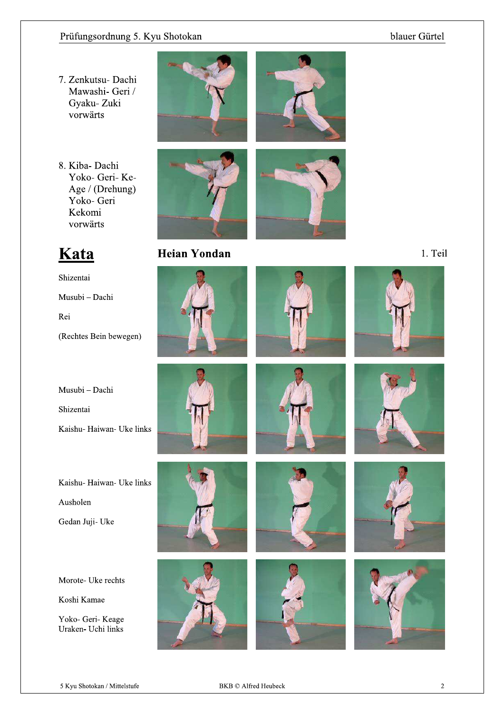### blauer Gürtel

- 7. Zenkutsu- Dachi Mawashi- Geri / Gyaku-Zuki vorwärts
- 8. Kiba-Dachi Yoko- Geri- Ke-Age / (Drehung) Yoko- Geri Kekomi vorwärts





# **Heian Yondan**







1. Teil







# Kata

Shizentai Musubi - Dachi Rei (Rechtes Bein bewegen)

Musubi - Dachi

Shizentai

Kaishu- Haiwan- Uke links

Kaishu- Haiwan- Uke links Ausholen

Gedan Juji- Uke

Morote- Uke rechts

Koshi Kamae

Yoko- Geri- Keage Uraken- Uchi links









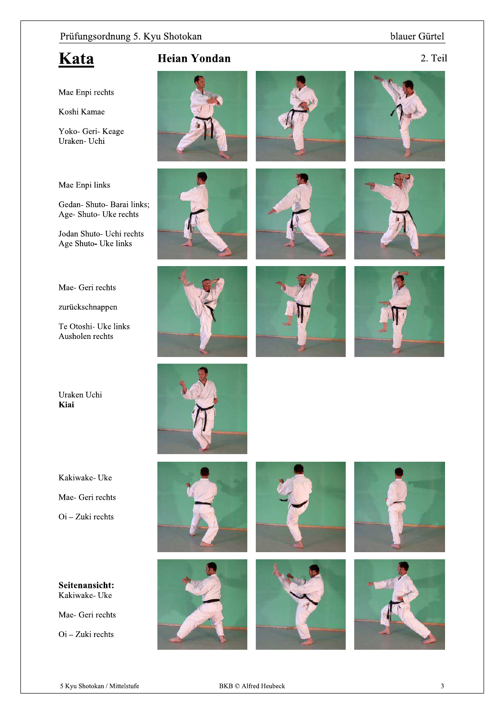### blauer Gürtel

# Kata

**Heian Yondan** 



Mae Enpi rechts

Koshi Kamae

Yoko- Geri- Keage Uraken- Uchi

#### Mae Enpi links

Gedan- Shuto- Barai links; Age- Shuto- Uke rechts

Jodan Shuto- Uchi rechts Age Shuto- Uke links

Mae- Geri rechts

zurückschnappen

Te Otoshi- Uke links Ausholen rechts

Uraken Uchi Kiai

Kakiwake- Uke

Mae- Geri rechts

 $\overline{Oi}$  – Zuki rechts

Seitenansicht: Kakiwake-Uke

Mae- Geri rechts

 $\mathrm{O}$ i – Zuki rechts

























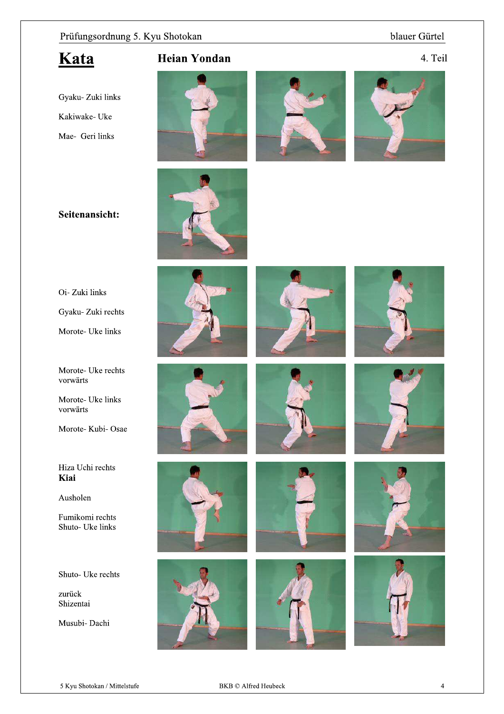### blauer Gürtel

# Kata

**Heian Yondan** 

4. Teil

Gyaku- Zuki links Kakiwake- Uke Mae- Geri links









# Seitenansicht:



Gyaku- Zuki rechts

Morote- Uke links

Morote- Uke rechts vorwärts

Morote- Uke links vorwärts

Morote-Kubi-Osae

#### Hiza Uchi rechts Kiai

Ausholen

Fumikomi rechts Shuto- Uke links

Shuto- Uke rechts

zurück Shizentai

Musubi- Dachi























5 Kyu Shotokan / Mittelstufe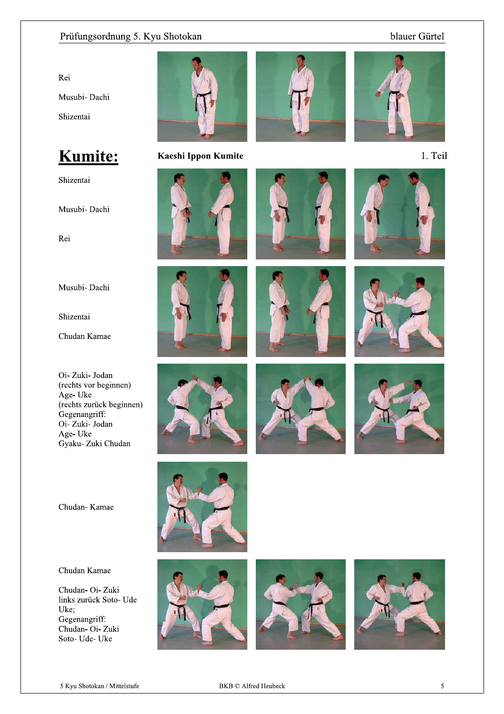### blauer Gürtel

Rei Musubi-Dachi Shizentai

Kumite:

Shizentai

Musubi- Dachi

Rei

Musubi- Dachi

Shizentai

Chudan Kamae

Oi-Zuki-Jodan (rechts vor beginnen) Age-Uke (rechts zurück beginnen) Gegenangriff: Oi-Zuki-Jodan Age-Uke Gyaku- Zuki Chudan

Chudan-Kamae

Chudan Kamae

Chudan- Oi- Zuki links zurück Soto- Ude Uke; Gegenangriff: Chudan- Oi- Zuki Soto- Ude- Uke



Kaeshi Ippon Kumite





















1. Teil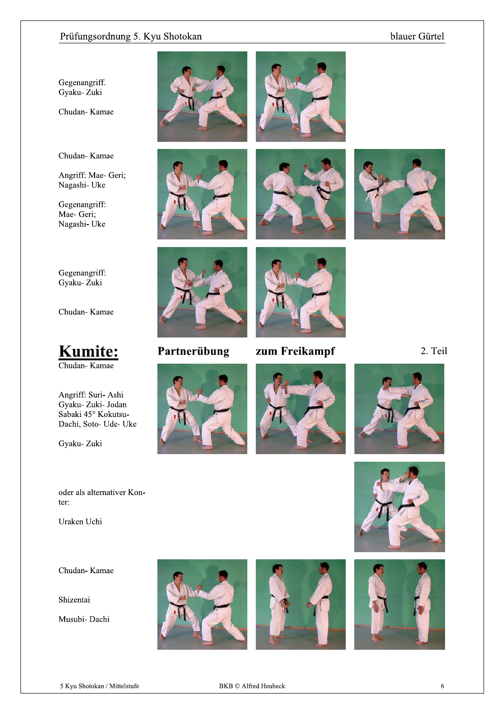### blauer Gürtel

Gegenangriff. Gyaku- Zuki

Chudan-Kamae

Chudan-Kamae

Angriff: Mae- Geri; Nagashi- Uke

Gegenangriff: Mae- Geri; Nagashi-Uke











Gegenangriff: Gyaku-Zuki

Chudan-Kamae



Angriff: Suri- Ashi Gyaku- Zuki- Jodan Sabaki 45° Kokutsu-Dachi, Soto- Ude- Uke

Gyaku-Zuki

#### oder als alternativer Konter:

Uraken Uchi

Chudan-Kamae

Shizentai

Musubi- Dachi



# Partnerübung



zum Freikampf





2. Teil